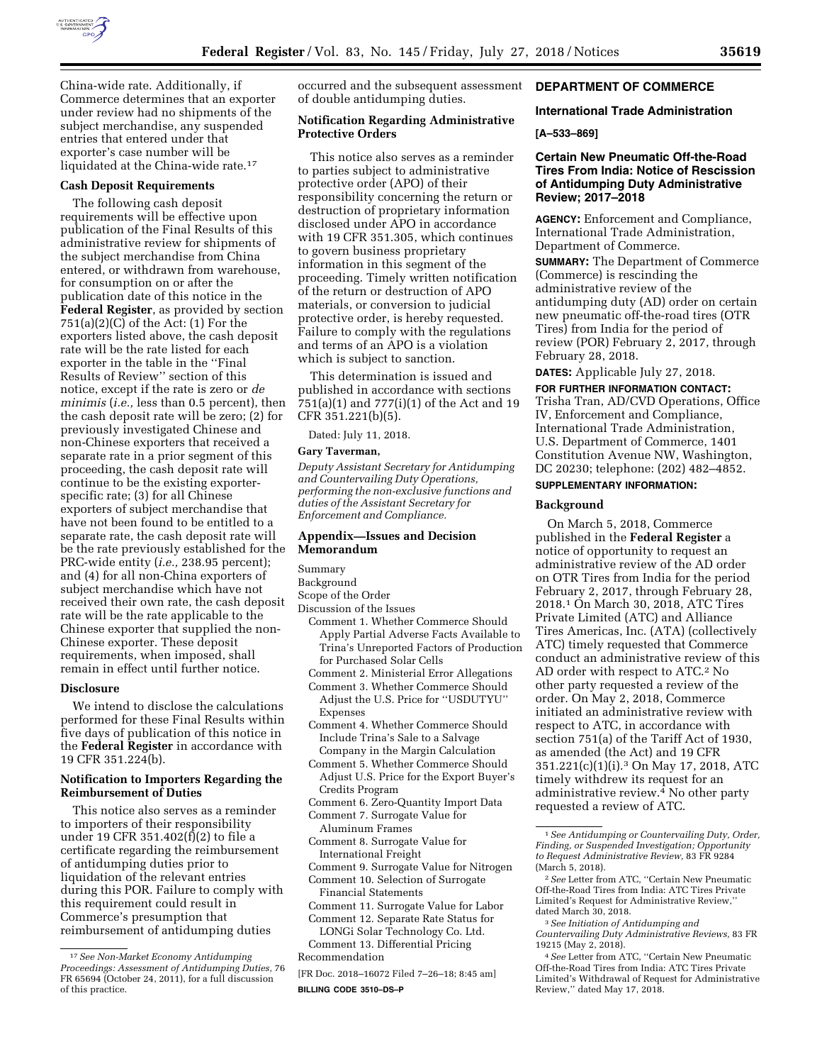

China-wide rate. Additionally, if Commerce determines that an exporter under review had no shipments of the subject merchandise, any suspended entries that entered under that exporter's case number will be liquidated at the China-wide rate.<sup>17</sup>

# **Cash Deposit Requirements**

The following cash deposit requirements will be effective upon publication of the Final Results of this administrative review for shipments of the subject merchandise from China entered, or withdrawn from warehouse, for consumption on or after the publication date of this notice in the **Federal Register**, as provided by section  $751(a)(2)(C)$  of the Act: (1) For the exporters listed above, the cash deposit rate will be the rate listed for each exporter in the table in the ''Final Results of Review'' section of this notice, except if the rate is zero or *de minimis* (*i.e.,* less than 0.5 percent), then the cash deposit rate will be zero; (2) for previously investigated Chinese and non-Chinese exporters that received a separate rate in a prior segment of this proceeding, the cash deposit rate will continue to be the existing exporterspecific rate; (3) for all Chinese exporters of subject merchandise that have not been found to be entitled to a separate rate, the cash deposit rate will be the rate previously established for the PRC-wide entity (*i.e.,* 238.95 percent); and (4) for all non-China exporters of subject merchandise which have not received their own rate, the cash deposit rate will be the rate applicable to the Chinese exporter that supplied the non-Chinese exporter. These deposit requirements, when imposed, shall remain in effect until further notice.

## **Disclosure**

We intend to disclose the calculations performed for these Final Results within five days of publication of this notice in the **Federal Register** in accordance with 19 CFR 351.224(b).

# **Notification to Importers Regarding the Reimbursement of Duties**

This notice also serves as a reminder to importers of their responsibility under 19 CFR 351.402(f)(2) to file a certificate regarding the reimbursement of antidumping duties prior to liquidation of the relevant entries during this POR. Failure to comply with this requirement could result in Commerce's presumption that reimbursement of antidumping duties

occurred and the subsequent assessment of double antidumping duties.

# **Notification Regarding Administrative Protective Orders**

This notice also serves as a reminder to parties subject to administrative protective order (APO) of their responsibility concerning the return or destruction of proprietary information disclosed under APO in accordance with 19 CFR 351.305, which continues to govern business proprietary information in this segment of the proceeding. Timely written notification of the return or destruction of APO materials, or conversion to judicial protective order, is hereby requested. Failure to comply with the regulations and terms of an APO is a violation which is subject to sanction.

This determination is issued and published in accordance with sections 751(a)(1) and 777(i)(1) of the Act and 19 CFR 351.221(b)(5).

Dated: July 11, 2018.

# **Gary Taverman,**

*Deputy Assistant Secretary for Antidumping and Countervailing Duty Operations, performing the non-exclusive functions and duties of the Assistant Secretary for Enforcement and Compliance.* 

## **Appendix—Issues and Decision Memorandum**

### Summary

- Background
- Scope of the Order
- Discussion of the Issues
	- Comment 1. Whether Commerce Should Apply Partial Adverse Facts Available to Trina's Unreported Factors of Production for Purchased Solar Cells
	- Comment 2. Ministerial Error Allegations
	- Comment 3. Whether Commerce Should Adjust the U.S. Price for ''USDUTYU'' Expenses
	- Comment 4. Whether Commerce Should Include Trina's Sale to a Salvage Company in the Margin Calculation
	- Comment 5. Whether Commerce Should Adjust U.S. Price for the Export Buyer's Credits Program
	- Comment 6. Zero-Quantity Import Data
	- Comment 7. Surrogate Value for
	- Aluminum Frames Comment 8. Surrogate Value for
	- International Freight
- Comment 9. Surrogate Value for Nitrogen
- Comment 10. Selection of Surrogate Financial Statements
- Comment 11. Surrogate Value for Labor Comment 12. Separate Rate Status for

LONGi Solar Technology Co. Ltd. Comment 13. Differential Pricing

Recommendation

[FR Doc. 2018–16072 Filed 7–26–18; 8:45 am] **BILLING CODE 3510–DS–P** 

# **DEPARTMENT OF COMMERCE**

## **International Trade Administration**

# **[A–533–869]**

# **Certain New Pneumatic Off-the-Road Tires From India: Notice of Rescission of Antidumping Duty Administrative Review; 2017–2018**

**AGENCY:** Enforcement and Compliance, International Trade Administration, Department of Commerce.

**SUMMARY:** The Department of Commerce (Commerce) is rescinding the administrative review of the antidumping duty (AD) order on certain new pneumatic off-the-road tires (OTR Tires) from India for the period of review (POR) February 2, 2017, through February 28, 2018.

**DATES:** Applicable July 27, 2018.

**FOR FURTHER INFORMATION CONTACT:**  Trisha Tran, AD/CVD Operations, Office

IV, Enforcement and Compliance, International Trade Administration, U.S. Department of Commerce, 1401 Constitution Avenue NW, Washington, DC 20230; telephone: (202) 482–4852.

## **SUPPLEMENTARY INFORMATION:**

#### **Background**

On March 5, 2018, Commerce published in the **Federal Register** a notice of opportunity to request an administrative review of the AD order on OTR Tires from India for the period February 2, 2017, through February 28, 2018.1 On March 30, 2018, ATC Tires Private Limited (ATC) and Alliance Tires Americas, Inc. (ATA) (collectively ATC) timely requested that Commerce conduct an administrative review of this AD order with respect to ATC.2 No other party requested a review of the order. On May 2, 2018, Commerce initiated an administrative review with respect to ATC, in accordance with section 751(a) of the Tariff Act of 1930, as amended (the Act) and 19 CFR 351.221(c)(1)(i).3 On May 17, 2018, ATC timely withdrew its request for an administrative review.4 No other party requested a review of ATC.

<sup>17</sup>*See Non-Market Economy Antidumping Proceedings: Assessment of Antidumping Duties,* 76 FR 65694 (October 24, 2011), for a full discussion of this practice.

<sup>1</sup>*See Antidumping or Countervailing Duty, Order, Finding, or Suspended Investigation; Opportunity to Request Administrative Review,* 83 FR 9284 (March 5, 2018).

<sup>2</sup>*See* Letter from ATC, ''Certain New Pneumatic Off-the-Road Tires from India: ATC Tires Private Limited's Request for Administrative Review,'' dated March 30, 2018.

<sup>3</sup>*See Initiation of Antidumping and Countervailing Duty Administrative Reviews,* 83 FR 19215 (May 2, 2018).

<sup>4</sup>*See* Letter from ATC, ''Certain New Pneumatic Off-the-Road Tires from India: ATC Tires Private Limited's Withdrawal of Request for Administrative Review,'' dated May 17, 2018.